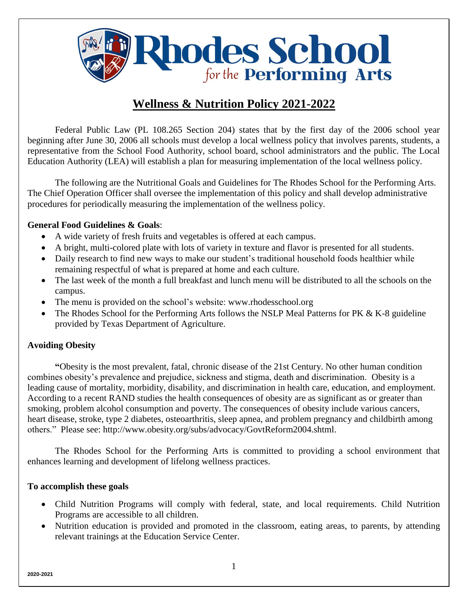**Rhodes School** 

# **Wellness & Nutrition Policy 2021-2022**

Federal Public Law (PL 108.265 Section 204) states that by the first day of the 2006 school year beginning after June 30, 2006 all schools must develop a local wellness policy that involves parents, students, a representative from the School Food Authority, school board, school administrators and the public. The Local Education Authority (LEA) will establish a plan for measuring implementation of the local wellness policy.

The following are the Nutritional Goals and Guidelines for The Rhodes School for the Performing Arts. The Chief Operation Officer shall oversee the implementation of this policy and shall develop administrative procedures for periodically measuring the implementation of the wellness policy.

## **General Food Guidelines & Goals**:

- A wide variety of fresh fruits and vegetables is offered at each campus.
- A bright, multi-colored plate with lots of variety in texture and flavor is presented for all students.
- Daily research to find new ways to make our student's traditional household foods healthier while remaining respectful of what is prepared at home and each culture.
- The last week of the month a full breakfast and lunch menu will be distributed to all the schools on the campus.
- The menu is provided on the school's website: www.rhodesschool.org
- The Rhodes School for the Performing Arts follows the NSLP Meal Patterns for PK & K-8 guideline provided by Texas Department of Agriculture.

## **Avoiding Obesity**

**"**Obesity is the most prevalent, fatal, chronic disease of the 21st Century. No other human condition combines obesity's prevalence and prejudice, sickness and stigma, death and discrimination. Obesity is a leading cause of mortality, morbidity, disability, and discrimination in health care, education, and employment. According to a recent RAND studies the health consequences of obesity are as significant as or greater than smoking, problem alcohol consumption and poverty. The consequences of obesity include various cancers, heart disease, stroke, type 2 diabetes, osteoarthritis, sleep apnea, and problem pregnancy and childbirth among others." Please see: [http://www.obesity.org/subs/advocacy/GovtReform2004.shtml.](http://www.obesity.org/subs/advocacy/GovtReform2004.shtml)

The Rhodes School for the Performing Arts is committed to providing a school environment that enhances learning and development of lifelong wellness practices.

#### **To accomplish these goals**

- Child Nutrition Programs will comply with federal, state, and local requirements. Child Nutrition Programs are accessible to all children.
- Nutrition education is provided and promoted in the classroom, eating areas, to parents, by attending relevant trainings at the Education Service Center.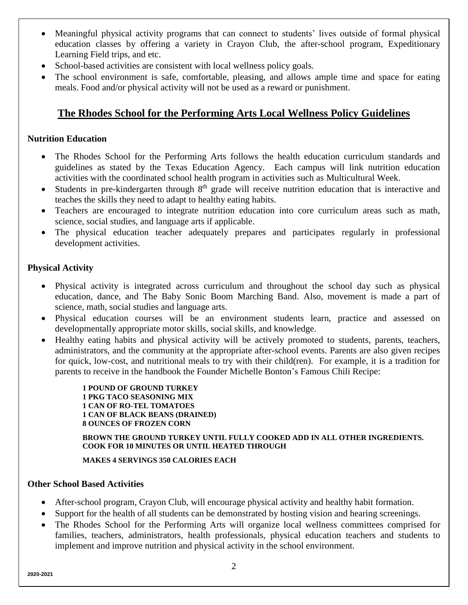- Meaningful physical activity programs that can connect to students' lives outside of formal physical education classes by offering a variety in Crayon Club, the after-school program, Expeditionary Learning Field trips, and etc.
- School-based activities are consistent with local wellness policy goals.
- The school environment is safe, comfortable, pleasing, and allows ample time and space for eating meals. Food and/or physical activity will not be used as a reward or punishment.

# **The Rhodes School for the Performing Arts Local Wellness Policy Guidelines**

#### **Nutrition Education**

- The Rhodes School for the Performing Arts follows the health education curriculum standards and guidelines as stated by the Texas Education Agency. Each campus will link nutrition education activities with the coordinated school health program in activities such as Multicultural Week.
- Students in pre-kindergarten through 8<sup>th</sup> grade will receive nutrition education that is interactive and teaches the skills they need to adapt to healthy eating habits.
- Teachers are encouraged to integrate nutrition education into core curriculum areas such as math, science, social studies, and language arts if applicable.
- The physical education teacher adequately prepares and participates regularly in professional development activities.

#### **Physical Activity**

- Physical activity is integrated across curriculum and throughout the school day such as physical education, dance, and The Baby Sonic Boom Marching Band. Also, movement is made a part of science, math, social studies and language arts.
- Physical education courses will be an environment students learn, practice and assessed on developmentally appropriate motor skills, social skills, and knowledge.
- Healthy eating habits and physical activity will be actively promoted to students, parents, teachers, administrators, and the community at the appropriate after-school events. Parents are also given recipes for quick, low-cost, and nutritional meals to try with their child(ren). For example, it is a tradition for parents to receive in the handbook the Founder Michelle Bonton's Famous Chili Recipe:

**1 POUND OF GROUND TURKEY 1 PKG TACO SEASONING MIX 1 CAN OF RO-TEL TOMATOES 1 CAN OF BLACK BEANS (DRAINED) 8 OUNCES OF FROZEN CORN**

**BROWN THE GROUND TURKEY UNTIL FULLY COOKED ADD IN ALL OTHER INGREDIENTS. COOK FOR 10 MINUTES OR UNTIL HEATED THROUGH**

**MAKES 4 SERVINGS 350 CALORIES EACH**

#### **Other School Based Activities**

- After-school program, Crayon Club, will encourage physical activity and healthy habit formation.
- Support for the health of all students can be demonstrated by hosting vision and hearing screenings.
- The Rhodes School for the Performing Arts will organize local wellness committees comprised for families, teachers, administrators, health professionals, physical education teachers and students to implement and improve nutrition and physical activity in the school environment.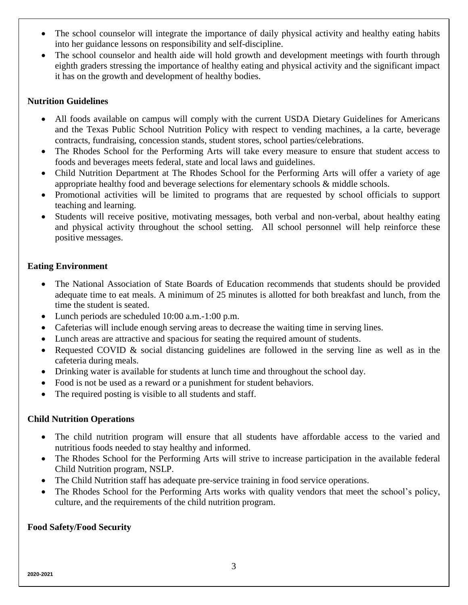- The school counselor will integrate the importance of daily physical activity and healthy eating habits into her guidance lessons on responsibility and self-discipline.
- The school counselor and health aide will hold growth and development meetings with fourth through eighth graders stressing the importance of healthy eating and physical activity and the significant impact it has on the growth and development of healthy bodies.

#### **Nutrition Guidelines**

- All foods available on campus will comply with the current USDA Dietary Guidelines for Americans and the Texas Public School Nutrition Policy with respect to vending machines, a la carte, beverage contracts, fundraising, concession stands, student stores, school parties/celebrations.
- The Rhodes School for the Performing Arts will take every measure to ensure that student access to foods and beverages meets federal, state and local laws and guidelines.
- Child Nutrition Department at The Rhodes School for the Performing Arts will offer a variety of age appropriate healthy food and beverage selections for elementary schools & middle schools.
- Promotional activities will be limited to programs that are requested by school officials to support teaching and learning.
- Students will receive positive, motivating messages, both verbal and non-verbal, about healthy eating and physical activity throughout the school setting. All school personnel will help reinforce these positive messages.

#### **Eating Environment**

- The National Association of State Boards of Education recommends that students should be provided adequate time to eat meals. A minimum of 25 minutes is allotted for both breakfast and lunch, from the time the student is seated.
- Lunch periods are scheduled 10:00 a.m.-1:00 p.m.
- Cafeterias will include enough serving areas to decrease the waiting time in serving lines.
- Lunch areas are attractive and spacious for seating the required amount of students.
- Requested COVID & social distancing guidelines are followed in the serving line as well as in the cafeteria during meals.
- Drinking water is available for students at lunch time and throughout the school day.
- Food is not be used as a reward or a punishment for student behaviors.
- The required posting is visible to all students and staff.

#### **Child Nutrition Operations**

- The child nutrition program will ensure that all students have affordable access to the varied and nutritious foods needed to stay healthy and informed.
- The Rhodes School for the Performing Arts will strive to increase participation in the available federal Child Nutrition program, NSLP.
- The Child Nutrition staff has adequate pre-service training in food service operations.
- The Rhodes School for the Performing Arts works with quality vendors that meet the school's policy, culture, and the requirements of the child nutrition program.

#### **Food Safety/Food Security**